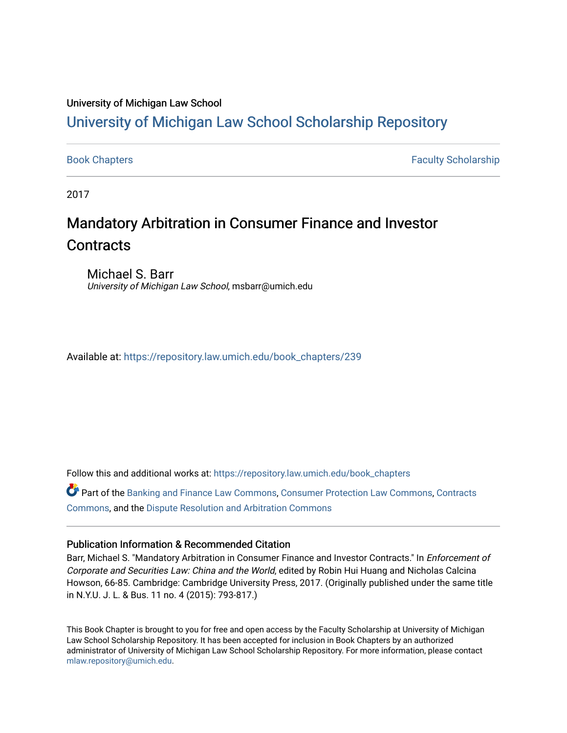#### University of Michigan Law School

# [University of Michigan Law School Scholarship Repository](https://repository.law.umich.edu/)

[Book Chapters](https://repository.law.umich.edu/book_chapters) Faculty Scholarship

2017

# Mandatory Arbitration in Consumer Finance and Investor **Contracts**

Michael S. Barr University of Michigan Law School, msbarr@umich.edu

Available at: [https://repository.law.umich.edu/book\\_chapters/239](https://repository.law.umich.edu/book_chapters/239) 

Follow this and additional works at: [https://repository.law.umich.edu/book\\_chapters](https://repository.law.umich.edu/book_chapters?utm_source=repository.law.umich.edu%2Fbook_chapters%2F239&utm_medium=PDF&utm_campaign=PDFCoverPages)

Part of the [Banking and Finance Law Commons,](http://network.bepress.com/hgg/discipline/833?utm_source=repository.law.umich.edu%2Fbook_chapters%2F239&utm_medium=PDF&utm_campaign=PDFCoverPages) [Consumer Protection Law Commons](http://network.bepress.com/hgg/discipline/838?utm_source=repository.law.umich.edu%2Fbook_chapters%2F239&utm_medium=PDF&utm_campaign=PDFCoverPages), [Contracts](http://network.bepress.com/hgg/discipline/591?utm_source=repository.law.umich.edu%2Fbook_chapters%2F239&utm_medium=PDF&utm_campaign=PDFCoverPages)  [Commons](http://network.bepress.com/hgg/discipline/591?utm_source=repository.law.umich.edu%2Fbook_chapters%2F239&utm_medium=PDF&utm_campaign=PDFCoverPages), and the [Dispute Resolution and Arbitration Commons](http://network.bepress.com/hgg/discipline/890?utm_source=repository.law.umich.edu%2Fbook_chapters%2F239&utm_medium=PDF&utm_campaign=PDFCoverPages) 

#### Publication Information & Recommended Citation

Barr, Michael S. "Mandatory Arbitration in Consumer Finance and Investor Contracts." In Enforcement of Corporate and Securities Law: China and the World, edited by Robin Hui Huang and Nicholas Calcina Howson, 66-85. Cambridge: Cambridge University Press, 2017. (Originally published under the same title in N.Y.U. J. L. & Bus. 11 no. 4 (2015): 793-817.)

This Book Chapter is brought to you for free and open access by the Faculty Scholarship at University of Michigan Law School Scholarship Repository. It has been accepted for inclusion in Book Chapters by an authorized administrator of University of Michigan Law School Scholarship Repository. For more information, please contact [mlaw.repository@umich.edu.](mailto:mlaw.repository@umich.edu)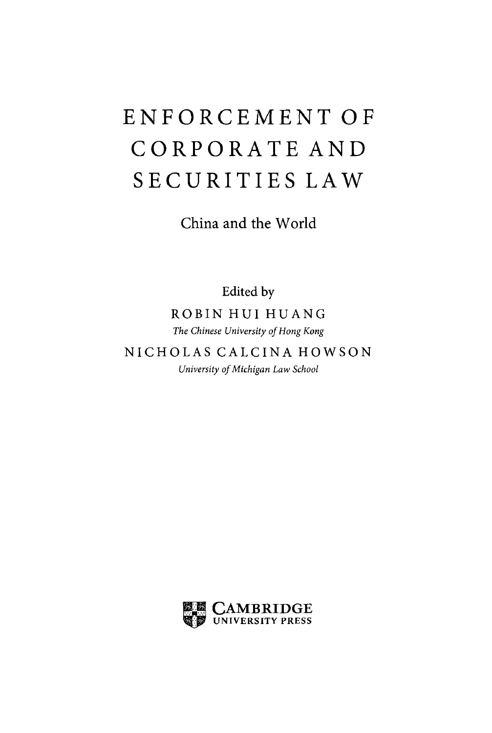# **ENFORCEMENT OF CORPORATE AND SECURITIES LAW**

China and the World

Edited by

ROBIN HUI HU ANG *The Chinese University of Hong Kong* 

NICHOLAS CALCINA HOWSON *University of Michigan Law School* 

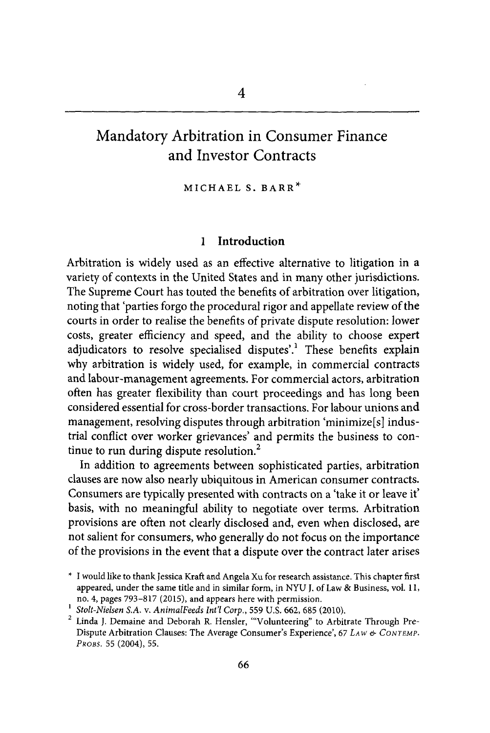## Mandatory Arbitration in Consumer Finance and Investor Contracts

MICHAEL S. BARR\*

#### 1 **Introduction**

Arbitration is widely used as an effective alternative to litigation in a variety of contexts in the United States and in many other jurisdictions. The Supreme Court has touted the benefits of arbitration over litigation, noting that 'parties forgo the procedural rigor and appellate review of the courts in order to realise the benefits of private dispute resolution: lower costs, greater efficiency and speed, and the ability to choose expert adjudicators to resolve specialised disputes'.<sup>1</sup> These benefits explain why arbitration is widely used, for example, in commercial contracts and labour-management agreements. For commercial actors, arbitration often has greater flexibility than court proceedings and has long been considered essential for cross-border transactions. For labour unions and management, resolving disputes through arbitration 'minimize[s] industrial conflict over worker grievances' and permits the business to continue to run during dispute resolution. $<sup>2</sup>$ </sup>

In addition to agreements between sophisticated parties, arbitration clauses are now also nearly ubiquitous in American consumer contracts. Consumers are typically presented with contracts on a 'take it or leave it' basis, with no meaningful ability to negotiate over terms. Arbitration provisions are often not clearly disclosed and, even when disclosed, are not salient for consumers, who generally do not focus on the importance of the provisions in the event that a dispute over the contract later arises

<sup>\*</sup> I would like to thank Jessica Kraft and Angela Xu for research assistance. This chapter first appeared, under the same title and in similar form, in NYU J. of Law & Business, vol. 11, no. 4, pages 793-817 (2015), and appears here with permission.<br><sup>1</sup> *Stolt-Nielsen S.A. v. AnimalFeeds Int'l Corp.*, 559 U.S. 662, 685 (2010).<br><sup>2</sup> Linda I Demaine and Deborah R Hensler "Volunteering" to Arbit

Linda J. Demaine and Deborah R. Hensler, "'Volunteering" to Arbitrate Through Pre-Dispute Arbitration Clauses: The Average Consumer's Experience', 67 LAW *&* CoNTEMP. *PROBS.* 55 (2004), 55.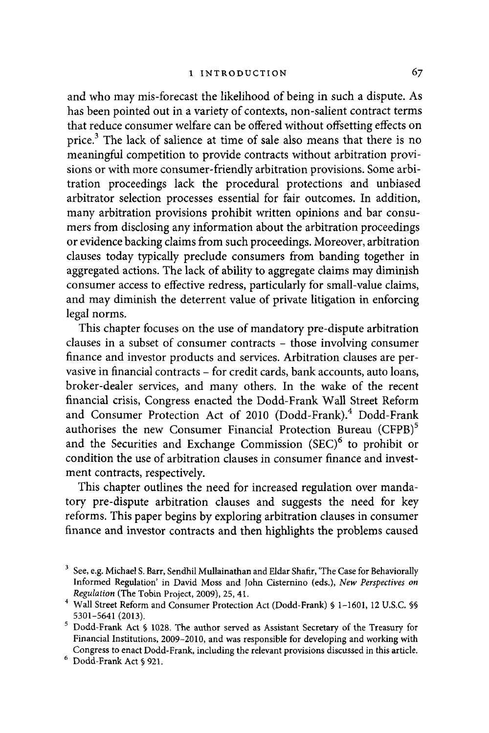and who may mis-forecast the likelihood of being in such a dispute. As has been pointed out in a variety of contexts, non-salient contract terms that reduce consumer welfare can be offered without offsetting effects on price.3 The lack of salience at time of sale also means that there is no meaningful competition to provide contracts without arbitration provisions or with more consumer-friendly arbitration provisions. Some arbitration proceedings lack the procedural protections and unbiased arbitrator selection processes essential for fair outcomes. In addition, many arbitration provisions prohibit written opinions and bar consumers from disclosing any information about the arbitration proceedings or evidence backing claims from such proceedings. Moreover, arbitration clauses today typically preclude consumers from banding together in aggregated actions. The lack of ability to aggregate claims may diminish consumer access to effective redress, particularly for small-value claims, and may diminish the deterrent value of private litigation in enforcing legal norms.

This chapter focuses on the use of mandatory pre-dispute arbitration clauses in a subset of consumer contracts - those involving consumer finance and investor products and services. Arbitration clauses are pervasive in financial contracts - for credit cards, bank accounts, auto loans, broker-dealer services, and many others. In the wake of the recent financial crisis, Congress enacted the Dodd-Frank Wall Street Reform and Consumer Protection Act of 2010 (Dodd-Frank).<sup>4</sup> Dodd-Frank authorises the new Consumer Financial Protection Bureau (CFPB)<sup>5</sup> and the Securities and Exchange Commission  $(SEC)^6$  to prohibit or condition the use of arbitration clauses in consumer finance and investment contracts, respectively.

This chapter outlines the need for increased regulation over mandatory pre-dispute arbitration clauses and suggests the need for key reforms. This paper begins by exploring arbitration clauses in consumer finance and investor contracts and then highlights the problems caused

 $3$  See, e.g. Michael S. Barr, Sendhil Mullainathan and Eldar Shafir, 'The Case for Behaviorally Informed Regulation' in David Moss and fohn Cisternino (eds.), *New Perspectives on Regulation* (The Tobin Project, 2009), 25, 41.

<sup>&</sup>lt;sup>4</sup> Wall Street Reform and Consumer Protection Act (Dodd-Frank) § 1-1601, 12 U.S.C. §§ 5301-5641 (2013).

 $5$  Dodd-Frank Act § 1028. The author served as Assistant Secretary of the Treasury for Financial Institutions, 2009-2010, and was responsible for developing and working with Congress to enact Dodd-Frank, including the relevant provisions discussed in this article.

<sup>&</sup>lt;sup>6</sup> Dodd-Frank Act § 921.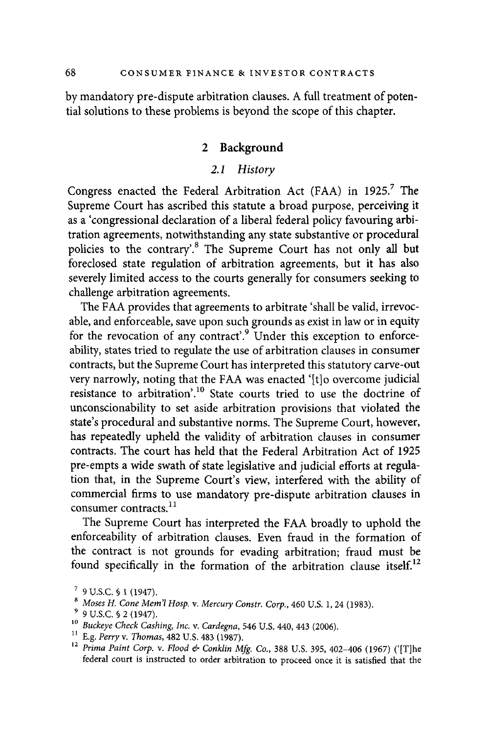by mandatory pre-dispute arbitration clauses. A full treatment of potential solutions to these problems is beyond the scope of this chapter.

#### 2 **Background**

#### *2.1 History*

Congress enacted the Federal Arbitration Act (FAA) in 1925.<sup>7</sup> The Supreme Court has ascribed this statute a broad purpose, perceiving it as a 'congressional declaration of a liberal federal policy favouring arbitration agreements, notwithstanding any state substantive or procedural policies to the contrary'.<sup>8</sup> The Supreme Court has not only all but foreclosed state regulation of arbitration agreements, but it has also severely limited access to the courts generally for consumers seeking to challenge arbitration agreements.

The FAA provides that agreements to arbitrate 'shall be valid, irrevocable, and enforceable, save upon such grounds as exist in law or in equity for the revocation of any contract'.<sup>9</sup> Under this exception to enforceability, states tried to regulate the use of arbitration clauses in consumer contracts, but the Supreme Court has interpreted this statutory carve-out very narrowly, noting that the FAA was enacted '[t]o overcome judicial resistance to arbitration'.<sup>10</sup> State courts tried to use the doctrine of unconscionability to set aside arbitration provisions that violated the state's procedural and substantive norms. The Supreme Court, however, has repeatedly upheld the validity of arbitration clauses in consumer contracts. The court has held that the Federal Arbitration Act of 1925 pre-empts a wide swath of state legislative and judicial efforts at regulation that, in the Supreme Court's view, interfered with the ability of commercial firms to use mandatory pre-dispute arbitration clauses in consumer contracts.<sup>11</sup>

The Supreme Court has interpreted the FAA broadly to uphold the enforceability of arbitration clauses. Even fraud in the formation of the contract is not grounds for evading arbitration; fraud must be found specifically in the formation of the arbitration clause itself.<sup>12</sup>

<sup>&</sup>lt;sup>7</sup> 9 U.S.C. § 1 (1947).<br>
<sup>8</sup> Moses H. Cone Mem'l Hosp. v. Mercury Constr. Corp., 460 U.S. 1, 24 (1983).<br>
<sup>9</sup> 9 U.S.C. § 2 (1947).<br>
<sup>10</sup> Buckeye Check Cashing, Inc. v. Cardegna, 546 U.S. 440, 443 (2006).<br>
<sup>11</sup> E.g. Perry federal court is instructed to order arbitration to proceed once it is satisfied that the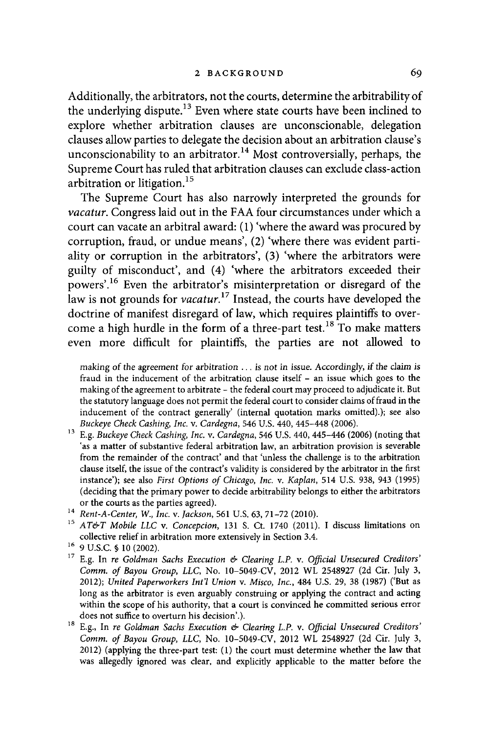Additionally, the arbitrators, not the courts, determine the arbitrability of the underlying dispute.<sup>13</sup> Even where state courts have been inclined to explore whether arbitration clauses are unconscionable, delegation clauses allow parties to delegate the decision about an arbitration clause's unconscionability to an arbitrator.<sup>14</sup> Most controversially, perhaps, the Supreme Court has ruled that arbitration clauses can exclude class-action arbitration or litigation.<sup>15</sup>

The Supreme Court has also narrowly interpreted the grounds for *vacatur.* Congress laid out in the FAA four circumstances under which a court can vacate an arbitral award: ( 1) 'where the award was procured by corruption, fraud, or undue means', (2) 'where there was evident partiality or corruption in the arbitrators', (3) 'where the arbitrators were guilty of misconduct', and (4) 'where the arbitrators exceeded their powers'. 16 Even the arbitrator's misinterpretation or disregard of the law is not grounds for *vacatur*.<sup>17</sup> Instead, the courts have developed the doctrine of manifest disregard of law, which requires plaintiffs to overcome a high hurdle in the form of a three-part test.<sup>18</sup> To make matters even more difficult for plaintiffs, the parties are not allowed to

making of the agreement for arbitration ... is not in issue. Accordingly, if the claim is fraud in the inducement of the arbitration clause itself - an issue which goes to the making of the agreement to arbitrate - the federal court may proceed to adjudicate it. But the statutory language does not permit the federal court to consider claims of fraud in the inducement of the contract generally' (internal quotation marks omitted).); see also

- *Buckeye Check Cashing, Inc.* v. *Cardegna,* 546 U.S. 440, 445-448 (2006). 13 E.g. *Buckeye Check Cashing, Inc.* v. *Cardegna,* 546 U.S. 440, 445-446 (2006) (noting that 'as a matter of substantive federal arbitration law, an arbitration provision is severable from the remainder of the contract' and that 'unless the challenge is to the arbitration clause itself, the issue of the contract's validity is considered by the arbitrator in the first instance'); see also *First Options of Chicago, Inc.* v. *Kaplan,* 514 U.S. 938, 943 (1995) ( deciding that the primary power to decide arbitrability belongs to either the arbitrators or the courts as the parties agreed). 14 *Rent-A-Center,* W., *Inc.* v. *Jackson,* 561 U.S. 63, 71-72 (2010). 15 *AT&T Mobile LLC* v. *Concepcion,* 131 S. Ct. 1740 (2011). I discuss limitations on
- 
- collective relief in arbitration more extensively in Section 3.4.<br>  $^{16}\,$  9 U.S.C. § 10 (2002).
- <sup>17</sup> E.g. In *re Goldman Sachs Execution & Clearing L.P. v. Official Unsecured Creditors' Comm. of Bayou Group, LLC,* No. 10-5049-CV, 2012 WL 2548927 (2d Cir. July 3, 2012); *United Paperworkers Int'/ Union* v. *Misco, Inc.,* 484 U.S. 29, 38 (1987) ('But as long as the arbitrator is even arguably construing or applying the contract and acting within the scope of his authority, that a court is convinced he committed serious error
- does not suffice to overturn his decision'.). 18 E.g., In *re Goldman Sachs Execution & Clearing L.P.* v. *Official Unsecured Creditors' Comm. of Bayou Group, LLC,* No. 10-5049-CV, 2012 WL 2548927 (2d Cir. July 3, 2012) (applying the three-part test: (1) the court must determine whether the law that was allegedly ignored was clear, and explicitly applicable to the matter before the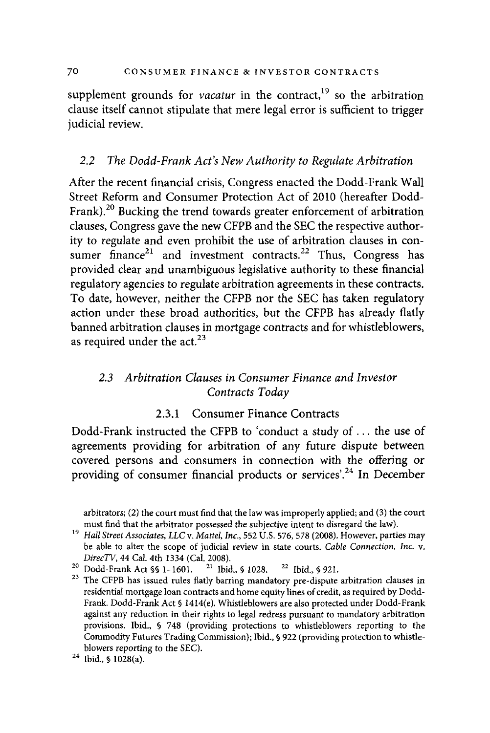supplement grounds for *vacatur* in the contract,<sup>19</sup> so the arbitration clause itself cannot stipulate that mere legal error is sufficient to trigger judicial review.

#### *2.2 The Dodd-Frank Act's New Authority to Regulate Arbitration*

After the recent financial crisis, Congress enacted the Dodd-Frank Wall Street Reform and Consumer Protection Act of 2010 (hereafter Dodd-Frank).<sup>20</sup> Bucking the trend towards greater enforcement of arbitration clauses, Congress gave the new CFPB and the SEC the respective authority to regulate and even prohibit the use of arbitration clauses in consumer finance<sup>21</sup> and investment contracts.<sup>22</sup> Thus, Congress has provided clear and unambiguous legislative authority to these financial regulatory agencies to regulate arbitration agreements in these contracts. To date, however, neither the CFPB nor the SEC has taken regulatory action under these broad authorities, but the CFPB has already flatly banned arbitration clauses in mortgage contracts and for whistleblowers, as required under the  $act.<sup>23</sup>$ 

### *2.3 Arbitration Clauses in Consumer Finance and Investor Contracts Today*

#### 2.3.1 Consumer Finance Contracts

Dodd-Frank instructed the CFPB to 'conduct a study of ... the use of agreements providing for arbitration of any future dispute between covered persons and consumers in connection with the offering or providing of consumer financial products or services'.<sup>24</sup> In December

*DirecTV*, 44 Cal. 4th 1334 (Cal. 2008).<br><sup>20</sup> Dodd-Frank Act §§ 1-1601. <sup>21</sup> Ibid., § 1028. <sup>22</sup> Ibid., § 921.<br><sup>23</sup> The CFPB has issued rules flatly barring mandatory pre-dispute arbitration clauses in residential mortgage loan contracts and home equity lines of credit, as required by Dodd-Frank. Dodd-Frank Act§ 1414(e). Whistleblowers are also protected under Dodd-Frank against any reduction in their rights to legal redress pursuant to mandatory arbitration provisions. Ibid., § 748 (providing protections to whistleblowers reporting to the Commodity Futures Trading Commission); Ibid., § 922 (providing protection to whistleblowers reporting to the SEC).<br><sup>24</sup> Ibid., § 1028(a).

arbitrators; (2) the court must find that the law was improperly applied; and (3) the court

must find that the arbitrator possessed the subjective intent to disregard the law). 19 *Hall Street Associates, LLC v. Mattel, Inc.,* 552 U.S. 576, 578 (2008). However, parties may be able to alter the scope of judicial review in state courts. *Cable Connection, Inc. v.*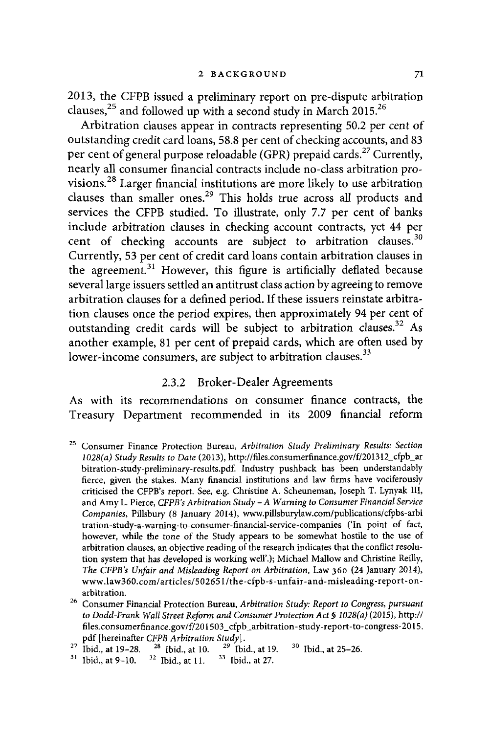2013, the CFPB issued a preliminary report on pre-dispute arbitration clauses,<sup>25</sup> and followed up with a second study in March 2015.<sup>26</sup>

Arbitration clauses appear in contracts representing 50.2 per cent of outstanding credit card loans, 58.8 per cent of checking accounts, and 83 per cent of general purpose reloadable (GPR) prepaid cards.<sup>27</sup> Currently, nearly all consumer financial contracts include no-class arbitration provisions.<sup>28</sup> Larger financial institutions are more likely to use arbitration clauses than smaller ones.29 This holds true across all products and services the CFPB studied. To illustrate, only 7.7 per cent of banks include arbitration clauses in checking account contracts, yet 44 per cent of checking accounts are subject to arbitration clauses.<sup>30</sup> Currently, 53 per cent of credit card loans contain arbitration clauses in the agreement.<sup>31</sup> However, this figure is artificially deflated because several large issuers settled an antitrust class action by agreeing to remove arbitration clauses for a defined period. If these issuers reinstate arbitration clauses once the period expires, then approximately 94 per cent of outstanding credit cards will be subject to arbitration clauses.32 As another example, 81 per cent of prepaid cards, which are often used by lower-income consumers, are subject to arbitration clauses.<sup>33</sup>

#### 2.3.2 Broker-Dealer Agreements

As with its recommendations on consumer finance contracts, the Treasury Department recommended in its 2009 financial reform

- 25 Consumer Finance Protection Bureau, *Arbitration Study Preliminary Results: Section 1028(a) Study Results to Date* (2013), http://files.consumerfinance.gov/f/20l3l2\_cfpb\_ar bitration-study-prelirninary-results.pdf. Industry pushback has been understandably fierce, given the stakes. Many financial institutions and law firms have vociferously criticised the CFPB's report. See, e.g. Christine A. Scheunernan, Joseph T. Lynyak III, and Amy L. Pierce, *CFPB's Arbitration Study-A Warning to Consumer Financial Service Companies,* Pillsbury (8 January 2014), www.pillsburylaw.com/publications/cfpbs-arbi tration-study-a-warning-to-consumer-financial-service-companies ('In point of fact, however, while the tone of the Study appears to be somewhat hostile to the use of arbitration clauses, an objective reading of the research indicates that the conflict resolution system that has developed is working well'.); Michael Mallow and Christine Reilly, *The CFPB's Unfair and Misleading Report on Arbitration,* Law 360 (24 January 2014), www.law360.com/articles/50265l/the-cfpb-s-unfair-and-misleading-report-onarbitration.
- <sup>26</sup> Consumer Financial Protection Bureau, *Arbitration Study: Report to Congress, pursuant to Dodd-Frank Wall Street Reform and Consumer Protection Act§ 1028(a)* (2015), http:// files.consumerfinance.gov/f/201503\_cfpb\_arbitration-study-report-to-congress-2015. pdf [hereinafter *CFPB Arbitration Study*].<br><sup>27</sup> Ibid., at 19-28. <sup>28</sup> Ibid., at 10. <sup>29</sup> Ibid., at 19. <sup>30</sup> Ibid., at 25-26.<br><sup>31</sup> Ibid., at 9-10. <sup>32</sup> Ibid., at 11. <sup>33</sup> Ibid., at 27.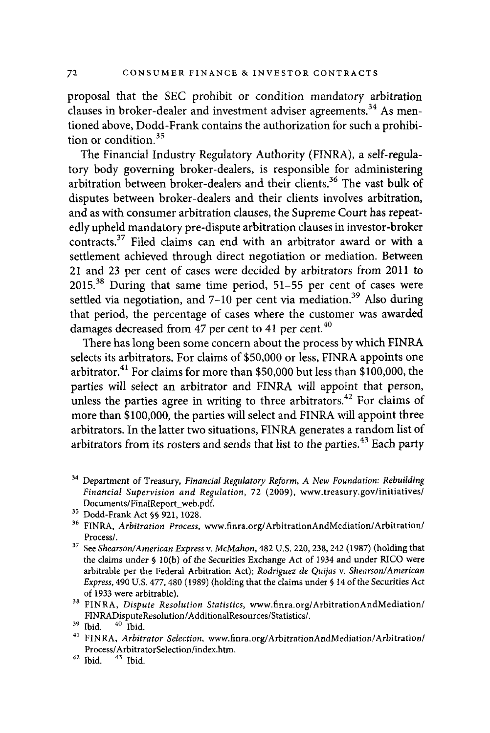proposal that the SEC prohibit or condition mandatory arbitration clauses in broker-dealer and investment adviser agreements.<sup>34</sup> As mentioned above, Dodd-Frank contains the authorization for such a prohibition or condition  $35$ 

The Financial Industry Regulatory Authority (FINRA), a self-regulatory body governing broker-dealers, is responsible for administering arbitration between broker-dealers and their clients.<sup>36</sup> The vast bulk of disputes between broker-dealers and their clients involves arbitration, and as with consumer arbitration clauses, the Supreme Court has repeatedly upheld mandatory pre-dispute arbitration clauses in investor-broker contracts. $37$  Filed claims can end with an arbitrator award or with a settlement achieved through direct negotiation or mediation. Between 21 and 23 per cent of cases were decided by arbitrators from 2011 to 2015.38 During that same time period, 51-55 per cent of cases were settled via negotiation, and 7-10 per cent via mediation.<sup>39</sup> Also during that period, the percentage of cases where the customer was awarded damages decreased from 47 per cent to 41 per cent.<sup>40</sup>

There has long been some concern about the process by which FINRA selects its arbitrators. For claims of \$50,000 or less, FINRA appoints one arbitrator.<sup>41</sup> For claims for more than \$50,000 but less than \$100,000, the parties will select an arbitrator and FINRA will appoint that person, unless the parties agree in writing to three arbitrators.<sup>42</sup> For claims of more than \$100,000, the parties will select and FINRA will appoint three arbitrators. In the latter two situations, FINRA generates a random list of arbitrators from its rosters and sends that list to the parties.<sup>43</sup> Each party

- FINRADisputeResolution/AdditionalResources/Statistics/. 39 Ibid. 40 Ibid. 41 FINRA, *Arbitrator Selection,* www.finra.org/ArbitrationAndMediation/Arbitration/ Process/ArbitratorSelection/index.htm.<br><sup>42</sup> Ibid. <sup>43</sup> Ibid.
- 

<sup>34</sup> Department of Treasury, *Financial Regulatory Reform, A New Foundation: Rebuilding Financial Supervision and Regulation,* 72 (2009), www.treasury.gov/initiatives/ Documents/FinalReport\_ web.pd£. 35 Dodd-Frank Act§§ 921, 1028. 36 FINRA, *Arbitration Process,* www.finra.org/ ArbitrationAndMediation/ Arbitration/

Process/.

<sup>&</sup>lt;sup>37</sup> See *Shearson/American Express v. McMahon*, <sup>482</sup> U.S. 220, 238, 242 (1987) (holding that the claims under§ lO(b) of the Securities Exchange Act of 1934 and under RICO were arbitrable per the Federal Arbitration Act); *Rodriguez de Quijas* v. *Shearson!American Express,* 490 U.S. 477,480 (1989) (holding that the claims under§ 14 of the Securities Act of 1933 were arbitrable). 38 FINRA, *Dispute Resolution Statistics,* www.finra.org/ ArbitrationAndMediation/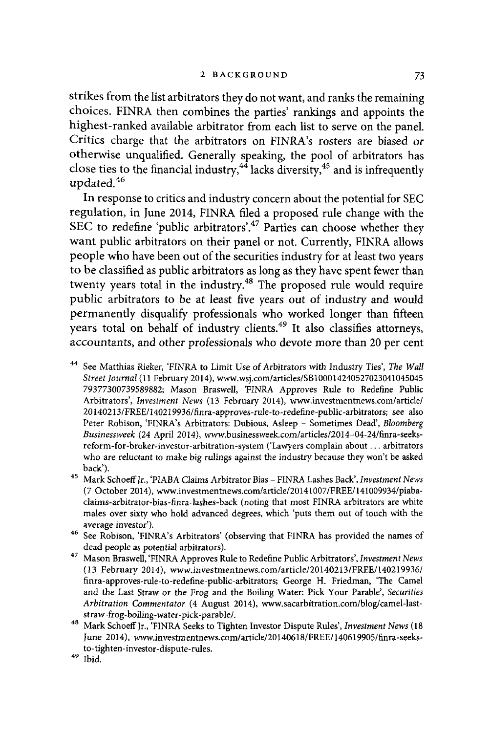strikes from the list arbitrators they do not want, and ranks the remaining choices. FINRA then combines the parties' rankings and appoints the highest-ranked available arbitrator from each list to serve on the panel. Critics charge that the arbitrators on FINRA's rosters are biased or otherwise unqualified. Generally speaking, the pool of arbitrators has close ties to the financial industry,  $4\frac{4}{3}$  lacks diversity,  $45$  and is infrequently updated. <sup>46</sup>

In response to critics and industry concern about the potential for SEC regulation, in June 2014, FINRA filed a proposed rule change with the SEC to redefine 'public arbitrators'.<sup>47</sup> Parties can choose whether they want public arbitrators on their panel or not. Currently, FINRA allows people who have been out of the securities industry for at least two years to be classified as public arbitrators as long as they have spent fewer than twenty years total in the industry.<sup>48</sup> The proposed rule would require public arbitrators to be at least five years out of industry and would permanently disqualify professionals who worked longer than fifteen years total on behalf of industry clients.<sup>49</sup> It also classifies attorneys, accountants, and other professionals who devote more than 20 per cent

- 44 See Matthias Rieker, 'FINRA to Limit Use of Arbitrators with Industry Ties', *The Wall Street Journal* (11 February 2014), www.wsj.com/articles/SB1000l424052702304l045045 79377300739589882; Mason Braswell, 'FINRA Approves Rule to Redefine Public Arbitrators', *Investment News* (13 February 2014), www.investmentnews.com/article/ 20 l 40213/FREE/140219936/finra-approves-rule-to-redefine-public-arbitrators; see also Peter Robison, 'FINRA's Arbitrators: Dubious, Asleep - Sometimes Dead', *Bloomberg Businessweek* (24 April 2014), www.businessweek.com/articles/2014-04-24/finra-seeksreform-for-broker-investor-arbitration-system ('Lawyers complain about ... arbitrators who are reluctant to make big rulings against the industry because they won't be asked
- back'). 45 Mark SchoetfJr., 'PIABA Claims Arbitrator Bias FINRA Lashes Back', *Investment News*  (7 October 2014), www.investmentnews.com/article/20141007/FREE/141009934/piabaclaims-arbitrator-bias-finra-lashes-back (noting that most FINRA arbitrators are white males over sixty who hold advanced degrees, which 'puts them out of touch with the
- average investor'). 46 See Robison, 'FINRA's Arbitrators' (observing that FINRA has provided the names of
- dead people as potential arbitrators). 47 Mason Braswell, 'FINRA Approves Rule to Redefine Public Arbitrators', *Investment News*  (13 February 2014), www.investmentnews.com/article/20140213/FREE/140219936/ finra-approves-rule-to-redefine-public-arbitrators; George H. Friedman, 'The Camel and the Last Straw or the Frog and the Boiling Water: Pick Your Parable', *Securities Arbitration Commentator* (4 August 2014), www.sacarbitration.com/blog/camel-last-
- straw-frog-boiling-water-pick-parable/. 48 Mark SchoetfJr., 'FINRA Seeks to Tighten Investor Dispute Rules', *Investment News* (18 June 2014), www.investmentnews.com/article/20140618/FREE/140619905/finra-seeksto-tighten-investor-dispute-rules.  $^{\rm 49}$  Ibid
-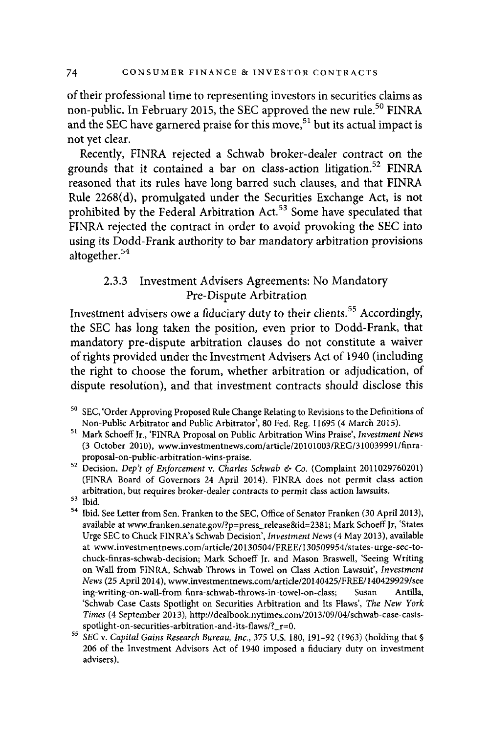of their professional time to representing investors in securities claims as non-public. In February 2015, the SEC approved the new rule.<sup>50</sup> FINRA and the SEC have garnered praise for this move,<sup>51</sup> but its actual impact is not yet clear.

Recently, FINRA rejected a Schwab broker-dealer contract on the grounds that it contained a bar on class-action litigation.<sup>52</sup> FINRA reasoned that its rules have long barred such clauses, and that FINRA Rule 2268(d), promulgated under the Securities Exchange Act, is not prohibited by the Federal Arbitration Act.<sup>53</sup> Some have speculated that FINRA rejected the contract in order to avoid provoking the SEC into using its Dodd-Frank authority to bar mandatory arbitration provisions altogether. 54

#### 2.3.3 Investment Advisers Agreements: No Mandatory Pre-Dispute Arbitration

Investment advisers owe a fiduciary duty to their clients. 55 Accordingly, the SEC has long taken the position, even prior to Dodd-Frank, that mandatory pre-dispute arbitration clauses do not constitute a waiver of rights provided under the Investment Advisers Act of 1940 (including the right to choose the forum, whether arbitration or adjudication, of dispute resolution), and that investment contracts should disclose this

- Non-Public Arbitrator and Public Arbitrator', 80 Fed. Reg. l 1695 (4 March 2015). 51 Mark Schoeff Jr., 'FINRA Proposal on Public Arbitration Wins Praise', *Investment News*  (3 October 2010), www.investmentnews.com/article/20101003/REG/310039991/finra-
- proposal-on-public-arbitration-wins-praise. 52 Decision, *Dep't of Enforcement* v. *Charles Schwab & Co.* (Complaint 2011029760201) (FINRA Board of Governors 24 April 2014). FINRA does not permit class action arbitration, but requires broker-dealer contracts to permit class action lawsuits.<br><sup>53</sup> Ibid. See Letter from Sen. Franken to the SEC, Office of Senator Franken (30 April 2013),
- 
- available at www.franken.senate.gov/?p=press\_release&id=238 l; Mark Schoeff Jr, 'States Urge SEC to Chuck FINRA's Schwab Decision', *Investment News* (4 May 2013), available at www.investmentnews.com/ article/20130504/FREE/ 130509954/states-urge-sec-tochuck-finras-schwab-decision; Mark Schoeff Jr. and Mason Braswell, 'Seeing Writing on Wall from FINRA, Schwab Throws in Towel on Class Action Lawsuit', *Investment News* {25 April 2014), www.investmentnews.com/article/20140425/FREE/140429929/see ing-writing-on-wall-from-finra-schwab-throws-in-towel-on-class; Susan Antilla, 'Schwab Case Casts Spotlight on Securities Arbitration and Its Flaws', *The New York Times* (4 September 2013), http://dealbook.nytimes.com/2013/09/04/schwab-case-casts-
- spotlight -on-securities-arbitration -and-its-flaws/? \_r=0. 55 *SEC* v. *Capital Gains Research Bureau, Inc.,* 375 U.S. 180, 191-92 (1963) (holding that§ 206 of the Investment Advisors Act of 1940 imposed a fiduciary duty on investment advisers).

<sup>50</sup> SEC, 'Order Approving Proposed Rule Change Relating to Revisions to the Definitions of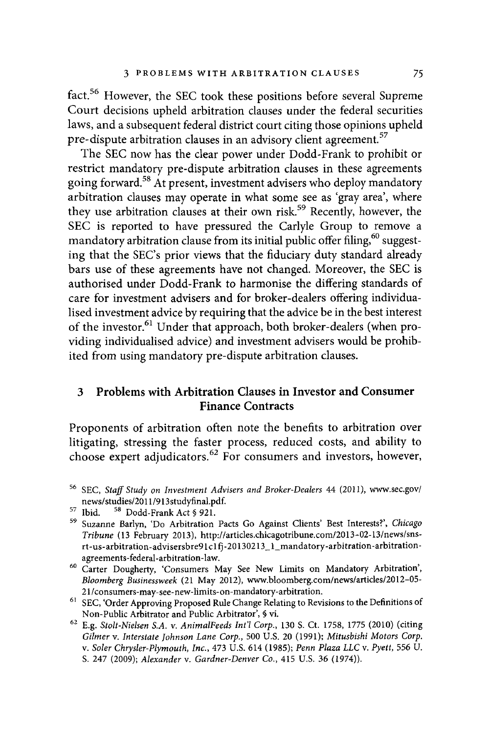fact.<sup>56</sup> However, the SEC took these positions before several Supreme Court decisions upheld arbitration clauses under the federal securities laws, and a subsequent federal district court citing those opinions upheld pre-dispute arbitration clauses in an advisory client agreement.<sup>57</sup>

The SEC now has the clear power under Dodd-Frank to prohibit or restrict mandatory pre-dispute arbitration clauses in these agreements going forward. 58 At present, investment advisers who deploy mandatory arbitration clauses may operate in what some see as 'gray area', where they use arbitration clauses at their own risk.<sup>59</sup> Recently, however, the SEC is reported to have pressured the Carlyle Group to remove a mandatory arbitration clause from its initial public offer filing,<sup>60</sup> suggesting that the SEC's prior views that the fiduciary duty standard already bars use of these agreements have not changed. Moreover, the SEC is authorised under Dodd-Frank to harmonise the differing standards of care for investment advisers and for broker-dealers offering individualised investment advice by requiring that the advice be in the best interest of the investor.<sup>61</sup> Under that approach, both broker-dealers (when providing individualised advice) and investment advisers would be prohibited from using mandatory pre-dispute arbitration clauses.

#### **3 Problems with Arbitration Clauses in Investor and Consumer Finance Contracts**

Proponents of arbitration often note the benefits to arbitration over litigating, stressing the faster process, reduced costs, and ability to choose expert adjudicators. 62 For consumers and investors, however,

<sup>56</sup> SEC, *Staff Study on Investment Advisers and Broker-Dealers* 44 (2011), www.sec.gov/

news/ studies/2011/2000<sub>1212</sub>/111318-11212<br>57 Ibid. <sup>58</sup> Suzanne Barlyn, 'Do Arbitration Pacts Go Against Clients' Best Interests?', *Chicago Tribune* (13 February 2013 ), http:/ /articles.chicagotribune.com/2013-02-13/news/snsrt-us-arbitration-advisersbre91c1fj-20130213\_1\_mandatory-arbitration-arbitrationagreements-federal-arbitration-law.

<sup>6</sup> ° Carter Dougherty, 'Consumers May See New Limits on Mandatory Arbitration', *Bloomberg Businessweek* (21 May 2012), www.bloomberg.com/news/articles/2012-05-

<sup>21/</sup>consumers-may-see-new-limits-on-mandatory-arbitration. 61 SEC, 'Order Approving Proposed Rule Change Relating to Revisions to the Definitions of Non-Public Arbitrator and Public Arbitrator',§ vi.

<sup>62</sup>E.g. *Stolt-Nielsen S.A.* v. *AnimalFeeds Int'! Corp.,* 130 S. Ct. 1758, 1775 (2010) (citing *Gilmer* v. *Interstate Johnson Lane Corp.,* 500 U.S. 20 (1991); *Mitusbishi Motors Corp.*  v. *Soler Chrysler-Plymouth, Inc.,* 473 U.S. 614 (1985); *Penn Plaza LLC* v. *Pyett,* 556 U. S. 247 (2009); *Alexander* v. *Gardner-Denver Co.,* 415 U.S. 36 (1974)).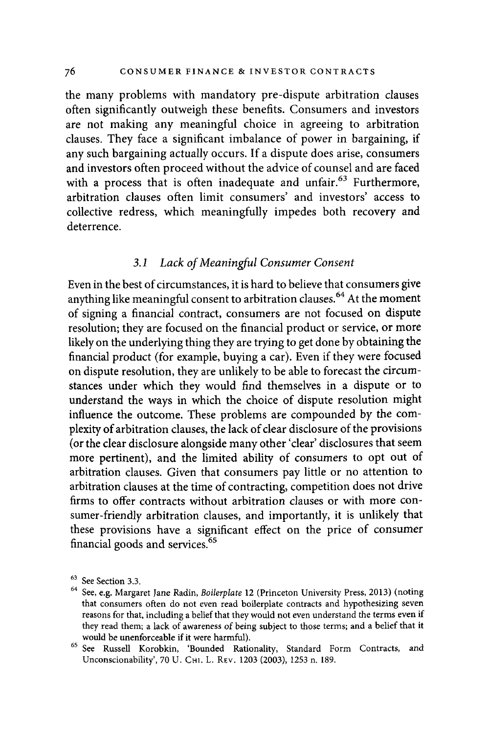the many problems with mandatory pre-dispute arbitration clauses often significantly outweigh these benefits. Consumers and investors are not making any meaningful choice in agreeing to arbitration clauses. They face a significant imbalance of power in bargaining, if any such bargaining actually occurs. If a dispute does arise, consumers and investors often proceed without the advice of counsel and are faced with a process that is often inadequate and unfair.<sup>63</sup> Furthermore, arbitration clauses often limit consumers' and investors' access to collective redress, which meaningfully impedes both recovery and deterrence.

#### *3.1 Lack of Meaningful Consumer Consent*

Even in the best of circumstances, it is hard to believe that consumers give anything like meaningful consent to arbitration clauses. 64 At the moment of signing a financial contract, consumers are not focused on dispute resolution; they are focused on the financial product or service, or more likely on the underlying thing they are trying to get done by obtaining the financial product (for example, buying a car). Even if they were focused on dispute resolution, they are unlikely to be able to forecast the circumstances under which they would find themselves in a dispute or to understand the ways in which the choice of dispute resolution might influence the outcome. These problems are compounded by the complexity of arbitration clauses, the lack of clear disclosure of the provisions ( or the clear disclosure alongside many other 'clear' disclosures that seem more pertinent), and the limited ability of consumers to opt out of arbitration clauses. Given that consumers pay little or no attention to arbitration clauses at the time of contracting, competition does not drive firms to offer contracts without arbitration clauses or with more consumer-friendly arbitration clauses, and importantly, it is unlikely that these provisions have a significant effect on the price of consumer financial goods and services.<sup>65</sup>

<sup>63</sup> See Section 3.3. 64 See, e.g. Margaret Jane Radin, *Boilerplate* 12 (Princeton University Press, 2013) (noting that consumers often do not even read boilerplate contracts and hypothesizing seven reasons for that, including a belief that they would not even understand the terms even if they read them; a lack of awareness of being subject to those terms; and a belief that it would be unenforceable if it were harmful).<br><sup>65</sup> See Russell Korobkin, 'Bounded Rationality, Standard Form Contracts, and

Unconscionability', 70 U. CHI. L. REv. 1203 (2003), 1253 n. 189.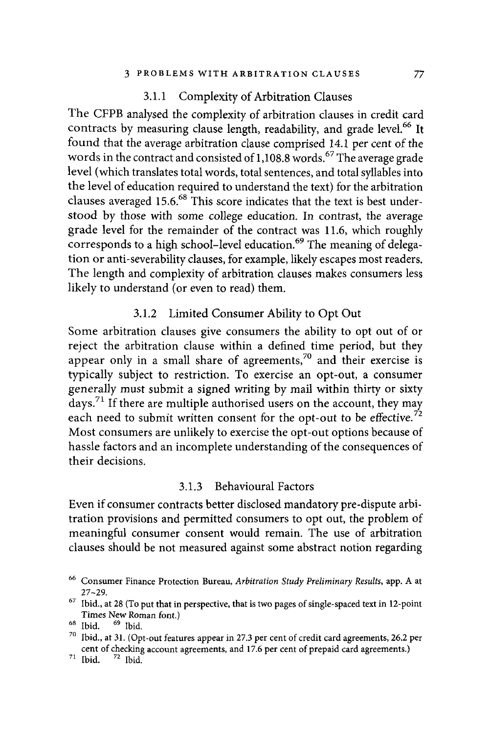#### 3.1.1 Complexity of Arbitration Clauses

The CFPB analysed the complexity of arbitration clauses in credit card contracts by measuring clause length, readability, and grade level.<sup>66</sup> It found that the average arbitration clause comprised 14.1 per cent of the words in the contract and consisted of  $1,108.8$  words.<sup>67</sup> The average grade level (which translates total words, total sentences, and total syllables into the level of education required to understand the text) for the arbitration clauses averaged  $15.6$ .<sup>68</sup> This score indicates that the text is best understood by those with some college education. In contrast, the average grade level for the remainder of the contract was 11.6, which roughly corresponds to a high school-level education.<sup>69</sup> The meaning of delegation or anti-severability clauses, for example, likely escapes most readers. The length and complexity of arbitration clauses makes consumers less likely to understand (or even to read) them.

#### 3.1.2 Limited Consumer Ability to Opt Out

Some arbitration clauses give consumers the ability to opt out of or reject the arbitration clause within a defined time period, but they appear only in a small share of agreements,<sup>70</sup> and their exercise is typically subject to restriction. To exercise an opt-out, a consumer generally must submit a signed writing by mail within thirty or sixty days. 71 If there are multiple authorised users on the account, they may each need to submit written consent for the opt-out to be effective.<sup>72</sup> Most consumers are unlikely to exercise the opt-out options because of hassle factors and an incomplete understanding of the consequences of their decisions.

#### 3.1.3 Behavioural Factors

Even if consumer contracts better disclosed mandatory pre-dispute arbitration provisions and permitted consumers to opt out, the problem of meaningful consumer consent would remain. The use of arbitration clauses should be not measured against some abstract notion regarding

<sup>66</sup> Consumer Finance Protection Bureau, *Arbitration Study Preliminary Results,* app. A at

<sup>27–29. &</sup>lt;br><sup>67</sup> Ibid., at 28 (To put that in perspective, that is two pages of single-spaced text in 12-point Times New Roman font.)<br><sup>68</sup> Ibid. <sup>69</sup> Ibid. <sup>69</sup> Ibid.<br><sup>70</sup> Ibid., at 31. (Opt-out features appear in 27.3 per cent of credit card agreements, 26.2 per

cent of checking account agreements, and 17.6 per cent of prepaid card agreements.)  $71 \text{ Ibid.}$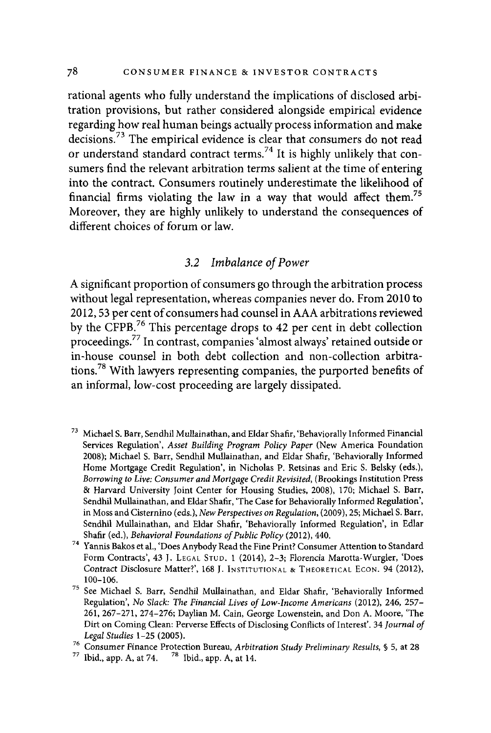rational agents who fully understand the implications of disclosed arbitration provisions, but rather considered alongside empirical evidence regarding how real human beings actually process information and make decisions.<sup>73</sup> The empirical evidence is clear that consumers do not read or understand standard contract terms.<sup>74</sup> It is highly unlikely that consumers find the relevant arbitration terms salient at the time of entering into the contract. Consumers routinely underestimate the likelihood of financial firms violating the law in a way that would affect them.<sup>75</sup> Moreover, they are highly unlikely to understand the consequences of different choices of forum or law.

#### *3.2 Imbalance of Power*

A significant proportion of consumers go through the arbitration process without legal representation, whereas companies never do. From 2010 to 2012, 53 per cent of consumers had counsel in AAA arbitrations reviewed by the CFPB.76 This percentage drops to 42 per cent in debt collection proceedings.<sup>77</sup>In contrast, companies 'almost always' retained outside or in-house counsel in both debt collection and non-collection arbitrations.78 With lawyers representing companies, the purported benefits of an informal, low-cost proceeding are largely dissipated.

- 73 Michael S. Barr, Sendhil Mullainathan, and Eldar Shafir, 'Behaviorally Informed Financial Services Regulation', *Asset Building Program Policy Paper* (New America Foundation 2008); Michael S. Barr, Sendhil Mullainathan, and Eldar Shafir, 'Behaviorally Informed Home Mortgage Credit Regulation', in Nicholas P. Retsinas and Eric S. Belsky (eds.), *Borrowing to Live: Consumer and Mortgage Credit Revisited,* (Brookings Institution Press & Harvard University Joint Center for Housing Studies, 2008), 170; Michael S. Barr, Sendhil Mullainathan, and Eldar Shafir, 'The Case for Behaviorally Informed Regulation', in Moss and Cisternino (eds.), *New Perspectives on Regulation,* (2009), 25; Michael S. Barr, Sendhil Mullainathan, and Eldar Shafir, 'Behaviorally Informed Regulation', in Edlar
- Shafir (ed.), *Behavioral Foundations of Public Policy* (2012), 440. 74 Yannis Bakos et al., 'Does Anybody Read the Fine Print? Consumer Attention to Standard Form Contracts', 43 J. LEGAL STUD. 1 (2014), 2-3; Florencia Marotta-Wurgler, 'Does Contract Disclosure Matter?', 168 J. INSTITUTIONAL & THEORETICAL ECON. 94 (2012),
- 100-106. <br><sup>75</sup> See Michael S. Barr, Sendhil Mullainathan, and Eldar Shafir, 'Behaviorally Informed Regulation', *No Slack: The Financial Lives of Low-Income Americans* (2012), 246, 257- 261, 267-271, 274-276; Daylian M. Cain, George Lowenstein, and Don A. Moore, 'The Dirt on Coming Clean: Perverse Effects of Disclosing Conflicts of Interest'. 34 *Journal of Legal Studies 1–25 (2005).*<br><sup>76</sup> Consumer Finance Protection Bureau, *Arbitration Study Preliminary Results*, § 5, at 28<br><sup>77</sup> Ibid., app. A, at 74. <sup>78</sup> Ibid., app. A, at 14.
- 
-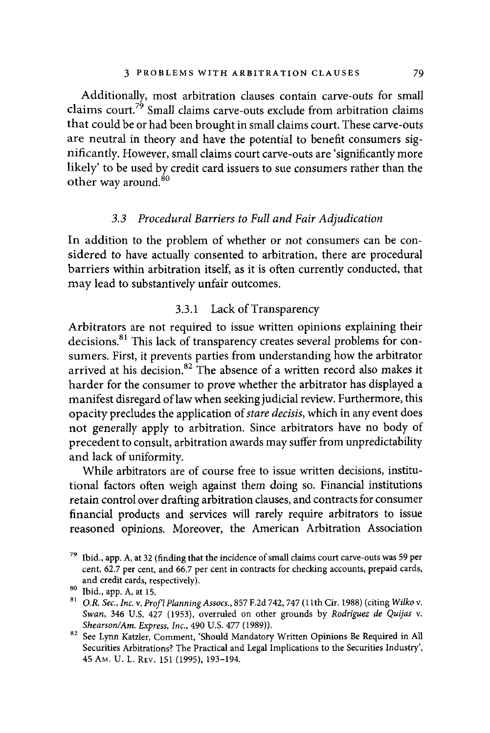Additionally, most arbitration clauses contain carve-outs for small claims court.<sup>79</sup> Small claims carve-outs exclude from arbitration claims that could be or had been brought in small claims court. These carve-outs are neutral in theory and have the potential to benefit consumers significantly. However, small claims court carve-outs are 'significantly more likely' to be used by credit card issuers to sue consumers rather than the other way around. $80$ 

#### *3.3 Procedural Barriers to Full and Fair Adjudication*

In addition to the problem of whether or not consumers can be considered to have actually consented to arbitration, there are procedural barriers within arbitration itself, as it is often currently conducted, that may lead to substantively unfair outcomes.

#### 3.3.1 Lack of Transparency

Arbitrators are not required to issue written opinions explaining their decisions.81 This lack of transparency creates several problems for consumers. First, it prevents parties from understanding how the arbitrator arrived at his decision.<sup>82</sup> The absence of a written record also makes it harder for the consumer to prove whether the arbitrator has displayed a manifest disregard oflaw when seeking judicial review. Furthermore, this opacity precludes the application of *stare decisis,* which in any event does not generally apply to arbitration. Since arbitrators have no body of precedent to consult, arbitration awards may suffer from unpredictability and lack of uniformity.

While arbitrators are of course free to issue written decisions, institutional factors often weigh against them doing so. Financial institutions retain control over drafting arbitration clauses, and contracts for consumer financial products and services will rarely require arbitrators to issue reasoned opinions. Moreover, the American Arbitration Association

 $79$  Ibid., app. A, at 32 (finding that the incidence of small claims court carve-outs was 59 per cent, 62.7 per cent, and 66.7 per cent in contracts for checking accounts, prepaid cards, and credit cards, respectively).<br><sup>80</sup> Ibid., app. A, at 15.<br><sup>81</sup> *O.R. Sec., Inc. v. Prof! Planning Assocs.*, 857 F.2d 742, 747 (11th Cir. 1988) (citing *Wilko v*.

*Swan,* 346 U.S. 427 (1953), overruled on other grounds by *Rodriguez de Quijas* v.

*Shearson!Am. Express, Inc.,* 490 U.S. 477 (1989)). 82 See Lynn Katzler, Comment, 'Should Mandatory Written Opinions Be Required in All Securities Arbitrations? The Practical and Legal Implications to the Securities Industry', 45 Am. U. L. REV. 151 (1995), 193-194.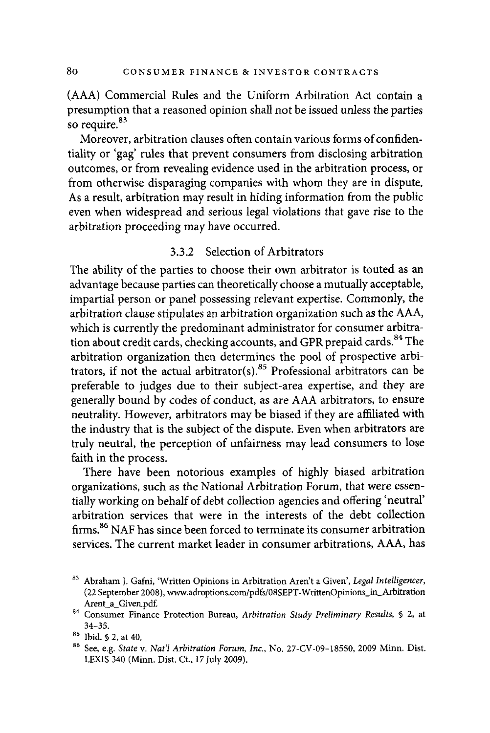(AAA) Commercial Rules and the Uniform Arbitration Act contain a presumption that a reasoned opinion shall not be issued unless the parties so require.<sup>83</sup>

Moreover, arbitration clauses often contain various forms of confidentiality or 'gag' rules that prevent consumers from disclosing arbitration outcomes, or from revealing evidence used in the arbitration process, or from otherwise disparaging companies with whom they are in dispute. As a result, arbitration may result in hiding information from the public even when widespread and serious legal violations that gave rise to the arbitration proceeding may have occurred.

#### 3.3.2 Selection of Arbitrators

The ability of the parties to choose their own arbitrator is touted as an advantage because parties can theoretically choose a mutually acceptable, impartial person or panel possessing relevant expertise. Commonly, the arbitration clause stipulates an arbitration organization such as the AAA, which is currently the predominant administrator for consumer arbitration about credit cards, checking accounts, and GPR prepaid cards.<sup>84</sup> The arbitration organization then determines the pool of prospective arbitrators, if not the actual arbitrator(s).<sup>85</sup> Professional arbitrators can be preferable to judges due to their subject-area expertise, and they are generally bound by codes of conduct, as are AAA arbitrators, to ensure neutrality. However, arbitrators may be biased if they are affiliated with the industry that is the subject of the dispute. Even when arbitrators are truly neutral, the perception of unfairness may lead consumers to lose faith in the process.

There have been notorious examples of highly biased arbitration organizations, such as the National Arbitration Forum, that were essentially working on behalf of debt collection agencies and offering 'neutral' arbitration services that were in the interests of the debt collection firms.<sup>86</sup> NAF has since been forced to terminate its consumer arbitration services. The current market leader in consumer arbitrations, AAA, has

<sup>83</sup> Abraham J. Gafni, 'Written Opinions in Arbitration Aren't a Given', *Legal Intelligencer,*  (22 September 2008 ), www.adroptions.com/pdfs/08SEPT-W rittenOpinions\_in\_Arbitration

Arent\_a\_ Given.pd£ 84 Consumer Finance Protection Bureau, *Arbitration Study Preliminary Results,* § 2, at 34-35. 85 Ibid. § 2, at 40. 86 See, e.g. *State* v. *Nat'/ Arbitration Forum, Inc.,* No. 27-CV-09-18550, 2009 Minn. Dist.

LEXIS 340 (Minn. Dist. Ct., 17 July 2009).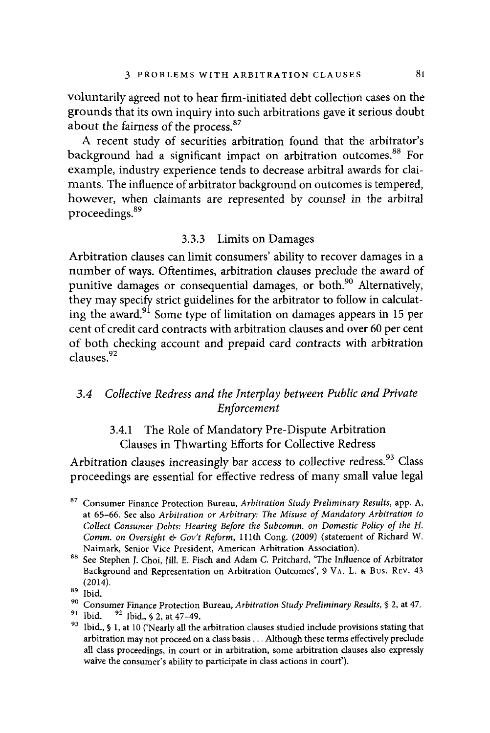voluntarily agreed not to hear firm-initiated debt collection cases on the grounds that its own inquiry into such arbitrations gave it serious doubt about the fairness of the process. 87

A recent study of securities arbitration found that the arbitrator's background had a significant impact on arbitration outcomes.<sup>88</sup> For example, industry experience tends to decrease arbitral awards for claimants. The influence of arbitrator background on outcomes is tempered, however, when claimants are represented by counsel in the arbitral proceedings. 89

#### 3.3.3 Limits on Damages

Arbitration clauses can limit consumers' ability to recover damages in a number of ways. Oftentimes, arbitration clauses preclude the award of punitive damages or consequential damages, or both.<sup>90</sup> Alternatively, they may specify strict guidelines for the arbitrator to follow in calculating the award.<sup>91</sup> Some type of limitation on damages appears in 15 per cent of credit card contracts with arbitration clauses and over 60 per cent of both checking account and prepaid card contracts with arbitration clauses.<sup>92</sup>

#### *3.4 Collective Redress and the Interplay between Public and Private Enforcement*

### 3.4.1 The Role of Mandatory Pre-Dispute Arbitration Clauses in Thwarting Efforts for Collective Redress

Arbitration clauses increasingly bar access to collective redress.<sup>93</sup> Class proceedings are essential for effective redress of many small value legal

<sup>87</sup> Consumer Finance Protection Bureau, *Arbitration Study Preliminary Results,* app. A, at 65-66. See also *Arbitration or Arbitrary: The Misuse of Mandatory Arbitration to Collect Consumer Debts: Hearing Before the Subcomm. on Domestic Policy of the H. Comm. on Oversight & Gov't Reform,* 111th Cong. (2009) (statement of Richard W.

Naimark, Senior Vice President, American Arbitration Association). 88 See Stephen J. Choi, Jill. E. Fisch and Adam C. Pritchard, 'The Influence of Arbitrator Background and Representation on Arbitration Outcomes', 9 VA. L. & Bus. REV. 43  $^{(2014)}$ .<br><sup>89</sup> Ibid.

<sup>&</sup>lt;sup>90</sup> Consumer Finance Protection Bureau, *Arbitration Study Preliminary Results*, § 2, at 47.<br><sup>91</sup> Ibid. <sup>92</sup> Ibid., § 2, at 47–49.<br><sup>93</sup> Ibid., § 1, at 10 ('Nearly all the arbitration clauses studied include provisions <sup>93</sup> Ibid., § 1, at 10 ('Nearly all the arbitration clauses studied include provisions stating that arbitration may not proceed on a class basis . . . Although these terms effectively preclude all class proceedings, in court or in arbitration, some arbitration clauses also expressly waive the consumer's ability to participate in class actions in court').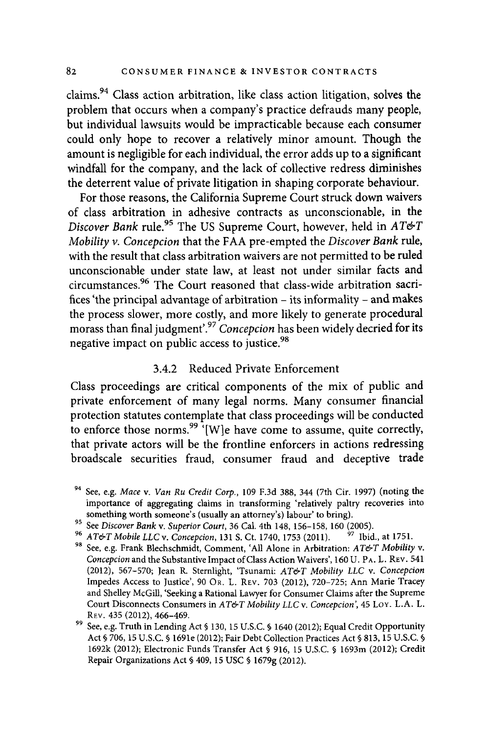claims.94 Class action arbitration, like class action litigation, solves the problem that occurs when a company's practice defrauds many people, but individual lawsuits would be impracticable because each consumer could only hope to recover a relatively minor amount. Though the amount is negligible for each individual, the error adds up to a significant windfall for the company, and the lack of collective redress diminishes the deterrent value of private litigation in shaping corporate behaviour.

For those reasons, the California Supreme Court struck down waivers of class arbitration in adhesive contracts as unconscionable, in the *Discover Bank* rule. 95 The US Supreme Court, however, held in *AT&T Mobility v. Concepcion* that the FAA pre-empted the *Discover Bank* rule, with the result that class arbitration waivers are not permitted to be ruled unconscionable under state law, at least not under similar facts and circumstances.<sup>96</sup> The Court reasoned that class-wide arbitration sacrifices 'the principal advantage of arbitration - its informality - and makes the process slower, more costly, and more likely to generate procedural morass than final judgment'.<sup>97</sup>*Concepcion* has been widely decried for its negative impact on public access to justice.  $98$ 

#### 3.4.2 Reduced Private Enforcement

Class proceedings are critical components of the mix of public and private enforcement of many legal norms. Many consumer financial protection statutes contemplate that class proceedings will be conducted to enforce those norms.<sup>99  $\cdot$ </sup>[W]e have come to assume, quite correctly, that private actors will be the frontline enforcers in actions redressing broadscale securities fraud, consumer fraud and deceptive trade

<sup>94</sup> See, e.g. *Mace* v. *Van Ru Credit Corp.,* 109 F.3d 388, 344 (7th Cir. 1997) (noting the importance of aggregating claims in transforming 'relatively paltry recoveries into

something worth someone's (usually an attorney's) labour' to bring).<br>
<sup>95</sup> See Discover Bank v. Superior Court, 36 Cal. 4th 148, 156-158, 160 (2005).<br>
<sup>96</sup> AT&T Mobile LLC v. Concepcion, 131 S. Ct. 1740, 1753 (2011). <sup>97</sup> *Concepcion* and the Substantive Impact of Class Action Waivers', 160 U. PA. L. REV. 541 (2012), 567-570; Jean R. Sternlight, 'Tsunami: *AT&T Mobility LLC* v. *Concepcion*  Impedes Access to Justice', 90 OR. L. REV. 703 (2012), 720-725; Ann Marie Tracey and Shelley McGill, 'Seeking a Rational Lawyer for Consumer Claims after the Supreme Court Disconnects Consumers in *AT&T Mobility LLC* v. *Concepcion',* 45 LoY. L.A. L.

See, e.g. Truth in Lending Act § 130, 15 U.S.C. § 1640 (2012); Equal Credit Opportunity Act§ 706, 15 U.S.C. § 169le (2012); Fair Debt Collection Practices Act§ 813, 15 U.S.C. § 1692k (2012); Electronic Funds Transfer Act§ 916, 15 U.S.C. § 1693m (2012); Credit Repair Organizations Act§ 409, 15 USC§ 1679g (2012).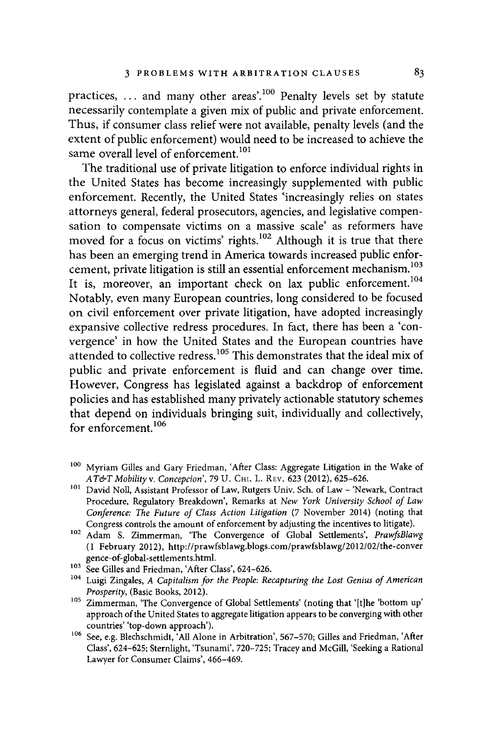practices,  $\dots$  and many other areas'.<sup>100</sup> Penalty levels set by statute necessarily contemplate a given mix of public and private enforcement. Thus, if consumer class relief were not available, penalty levels (and the extent of public enforcement) would need to be increased to achieve the same overall level of enforcement.<sup>101</sup>

The traditional use of private litigation to enforce individual rights in the United States has become increasingly supplemented with public enforcement. Recently, the United States 'increasingly relies on states attorneys general, federal prosecutors, agencies, and legislative compensation to compensate victims on a massive scale' as reformers have moved for a focus on victims' rights.<sup>102</sup> Although it is true that there has been an emerging trend in America towards increased public enforcement, private litigation is still an essential enforcement mechanism.<sup>103</sup> It is, moreover, an important check on lax public enforcement.<sup>104</sup> Notably, even many European countries, long considered to be focused on civil enforcement over private litigation, have adopted increasingly expansive collective redress procedures. In fact, there has been a 'convergence' in how the United States and the European countries have attended to collective redress.<sup>105</sup> This demonstrates that the ideal mix of public and private enforcement is fluid and can change over time. However, Congress has legislated against a backdrop of enforcement policies and has established many privately actionable statutory schemes that depend on individuals bringing suit, individually and collectively, for enforcement<sup>106</sup>

<sup>&</sup>lt;sup>100</sup> Myriam Gilles and Gary Friedman, 'After Class: Aggregate Litigation in the Wake of  $AT \& T T M$  and  $T$  . Concepcion', 79 U. CHI. L. REV. 623 (2012), 625–626.

<sup>&</sup>lt;sup>101</sup> David Noll, Assistant Professor of Law, Rutgers Univ. Sch. of Law - 'Newark, Contract Procedure, Regulatory Breakdown', Remarks at *New York University School of Law Conference: The Future of Class Action Litigation* (7 November 2014) (noting that Congress controls the amount of enforcement by adjusting the incentives to litigate).

<sup>102</sup> Adam S. Zimmerman, 'The Convergence of Global Settlements', *PrawfsBlawg* ( 1 February 2012), http:/ /prawfsblawg.blogs.com/prawfsblawg/2012/02/the-conver gence-of-global-settlements.html.<br><sup>103</sup> See Gilles and Friedman, 'After Class', 624-626.<br><sup>104</sup> Luigi Zingales, *A Capitalism for the People: Recapturing the Lost Genius of American* 

*Prosperity, (Basic Books, 2012).* 105 *Prosperity, (Basic Books, 2012).* 105 *Zimmerman, 'The Convergence of Global Settlements' (noting that '[t]he 'bottom up'* 

approach of the United States to aggregate litigation appears to be converging with other countries' 'top-down approach').

<sup>&</sup>lt;sup>106</sup> See, e.g. Blechschmidt, 'All Alone in Arbitration', 567-570; Gilles and Friedman, 'After Class', 624-625; Sternlight, 'Tsunami', 720-725; Tracey and McGill, 'Seeking a Rational Lawyer for Consumer Claims', 466-469.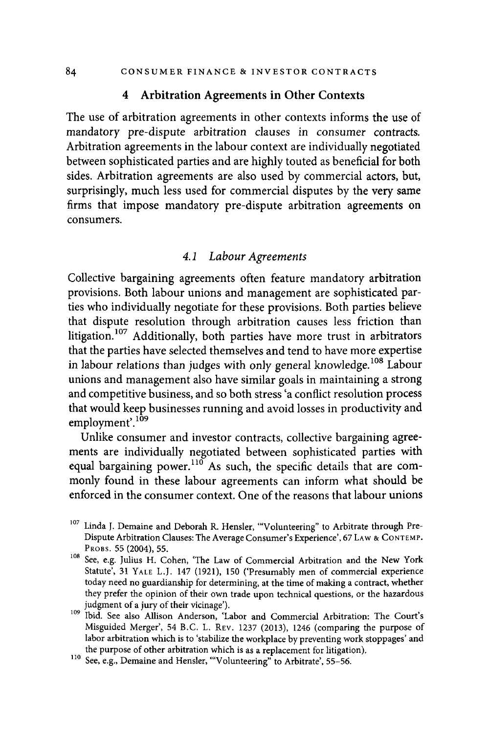#### **4 Arbitration Agreements in Other Contexts**

The use of arbitration agreements in other contexts informs the use of mandatory pre-dispute arbitration clauses in consumer contracts. Arbitration agreements in the labour context are individually negotiated between sophisticated parties and are highly touted as beneficial for both sides. Arbitration agreements are also used by commercial actors, but, surprisingly, much less used for commercial disputes by the very same firms that impose mandatory pre-dispute arbitration agreements on consumers.

#### *4.1 Labour Agreements*

Collective bargaining agreements often feature mandatory arbitration provisions. Both labour unions and management are sophisticated parties who individually negotiate for these provisions. Both parties believe that dispute resolution through arbitration causes less friction than litigation.<sup>107</sup> Additionally, both parties have more trust in arbitrators that the parties have selected themselves and tend to have more expertise in labour relations than judges with only general knowledge.<sup>108</sup> Labour unions and management also have similar goals in maintaining a strong and competitive business, and so both stress 'a conflict resolution process that would keep businesses running and avoid losses in productivity and employment'.<sup>109</sup>

Unlike consumer and investor contracts, collective bargaining agreements are individually negotiated between sophisticated parties with equal bargaining power.<sup>110</sup> As such, the specific details that are commonly found in these labour agreements can inform what should be enforced in the consumer context. One of the reasons that labour unions

<sup>&</sup>lt;sup>107</sup> Linda J. Demaine and Deborah R. Hensler, "'Volunteering" to Arbitrate through Pre-Dispute Arbitration Clauses: The Average Consumer's Experience', 67 LAW & CONTEMP.

PROBS. 55 (2004), 55.<br><sup>108</sup> See, e.g. Julius H. Cohen, 'The Law of Commercial Arbitration and the New York Statute', 31 YALE L.J. 147 (1921), 150 ('Presumably men of commercial experience today need no guardianship for determining, at the time of making a contract, whether they prefer the opinion of their own trade upon technical questions, or the hazardous

judgment of a jury of their vicinage'). 109 Ibid. See also Allison Anderson, 'Labor and Commercial Arbitration: The Court's Misguided Merger', 54 B.C. L. REV. 1237 (2013), 1246 (comparing the purpose of labor arbitration which is to 'stabilize the workplace by preventing work stoppages' and the purpose of other arbitration which is as a replacement for litigation). 110 See, e.g., Demaine and Hensler, "'Volunteering" to Arbitrate', 55-56.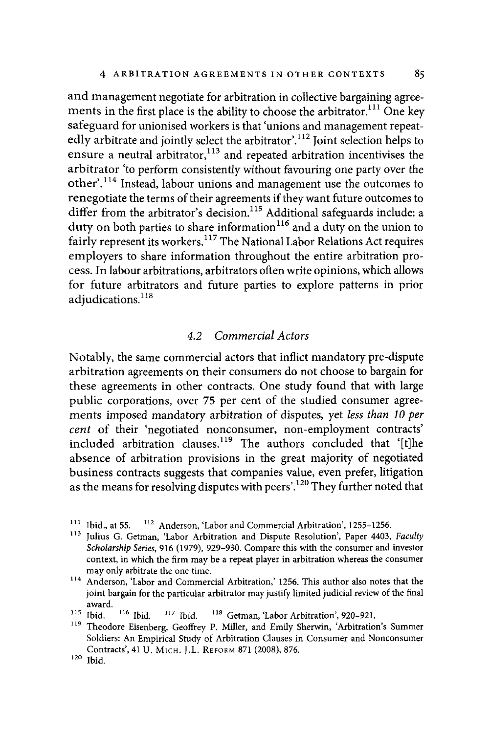and management negotiate for arbitration in collective bargaining agreements in the first place is the ability to choose the arbitrator.<sup> $111$ </sup> One key safeguard for unionised workers is that 'unions and management repeatedly arbitrate and jointly select the arbitrator'.<sup>112</sup> Joint selection helps to ensure a neutral arbitrator,<sup>113</sup> and repeated arbitration incentivises the arbitrator 'to perform consistently without favouring one party over the other'.<sup>114</sup> Instead, labour unions and management use the outcomes to renegotiate the terms of their agreements if they want future outcomes to differ from the arbitrator's decision.<sup>115</sup> Additional safeguards include: a  $\frac{d}{dx}$  duty on both parties to share information<sup>116</sup> and a duty on the union to fairly represent its workers.<sup>117</sup> The National Labor Relations Act requires employers to share information throughout the entire arbitration process. In labour arbitrations, arbitrators often write opinions, which allows for future arbitrators and future parties to explore patterns in prior adiudications.<sup>118</sup>

#### *4.2 Commercial Actors*

Notably, the same commercial actors that inflict mandatory pre-dispute arbitration agreements on their consumers do not choose to bargain for these agreements in other contracts. One study found that with large public corporations, over 75 per cent of the studied consumer agreements imposed mandatory arbitration of disputes, yet *less than 10 per cent* of their 'negotiated nonconsumer, non-employment contracts' included arbitration clauses.<sup>119</sup> The authors concluded that '[t]he absence of arbitration provisions in the great majority of negotiated business contracts suggests that companies value, even prefer, litigation as the means for resolving disputes with peers'.<sup>120</sup> They further noted that

 $111$  Ibid., at 55.  $112$  Anderson, 'Labor and Commercial Arbitration', 1255-1256.

<sup>&</sup>lt;sup>113</sup> Julius G. Getman, 'Labor Arbitration and Dispute Resolution', Paper 4403, *Faculty Scholarship Series,* 916 (1979), 929-930. Compare this with the consumer and investor context, in which the firm may be a repeat player in arbitration whereas the consumer

may only arbitrate the one time.  $114$  Anderson, 'Labor and Commercial Arbitration,' 1256. This author also notes that the joint bargain for the particular arbitrator may justify limited judicial review of the final

award.<br> $115$  Ibid. 115 Ibid.  $116$  Ibid.  $117$  Ibid.  $118$  Getman, 'Labor Arbitration', 920–921.<br><sup>119</sup> Theodore Eisenberg Geoffrey P. Miller, and Emily Sherwin. 'Arbitration

Theodore Eisenberg, Geoffrey P. Miller, and Emily Sherwin, 'Arbitration's Summer Soldiers: An Empirical Study of Arbitration Clauses in Consumer and Nonconsumer Contracts', 41 U. M1cH. J.L. REFORM 871 (2008), 876.

 $120$  Ibid.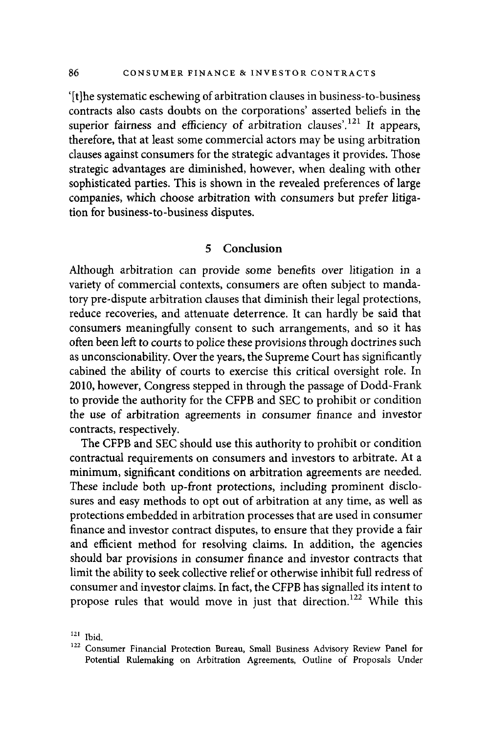'[t]he systematic eschewing of arbitration clauses in business-to-business contracts also casts doubts on the corporations' asserted beliefs in the superior fairness and efficiency of arbitration clauses'.<sup>121</sup> It appears, therefore, that at least some commercial actors may be using arbitration clauses against consumers for the strategic advantages it provides. Those strategic advantages are diminished, however, when dealing with other sophisticated parties. This is shown in the revealed preferences of large companies, which choose arbitration with consumers but prefer litigation for business-to-business disputes.

#### **5 Conclusion**

Although arbitration can provide some benefits over litigation in a variety of commercial contexts, consumers are often subject to mandatory pre-dispute arbitration clauses that diminish their legal protections, reduce recoveries, and attenuate deterrence. It can hardly be said that consumers meaningfully consent to such arrangements, and so it has often been left to courts to police these provisions through doctrines such as unconscionability. Over the years, the Supreme Court has significantly cabined the ability of courts to exercise this critical oversight role. In 2010, however, Congress stepped in through the passage of Dodd-Frank to provide the authority for the CFPB and SEC to prohibit or condition the use of arbitration agreements in consumer finance and investor contracts, respectively.

The CFPB and SEC should use this authority to prohibit or condition contractual requirements on consumers and investors to arbitrate. At a minimum, significant conditions on arbitration agreements are needed. These include both up-front protections, including prominent disclosures and easy methods to opt out of arbitration at any time, as well as protections embedded in arbitration processes that are used in consumer finance and investor contract disputes, to ensure that they provide a fair and efficient method for resolving claims. In addition, the agencies should bar provisions in consumer finance and investor contracts that limit the ability to seek collective relief or otherwise inhibit full redress of consumer and investor claims. In fact, the CFPB has signalled its intent to propose rules that would move in just that direction.<sup>122</sup> While this

<sup>&</sup>lt;sup>121</sup> Ibid.<br><sup>122</sup> Consumer Financial Protection Bureau, Small Business Advisory Review Panel for Potential Rulemaking on Arbitration Agreements, Outline of Proposals Under